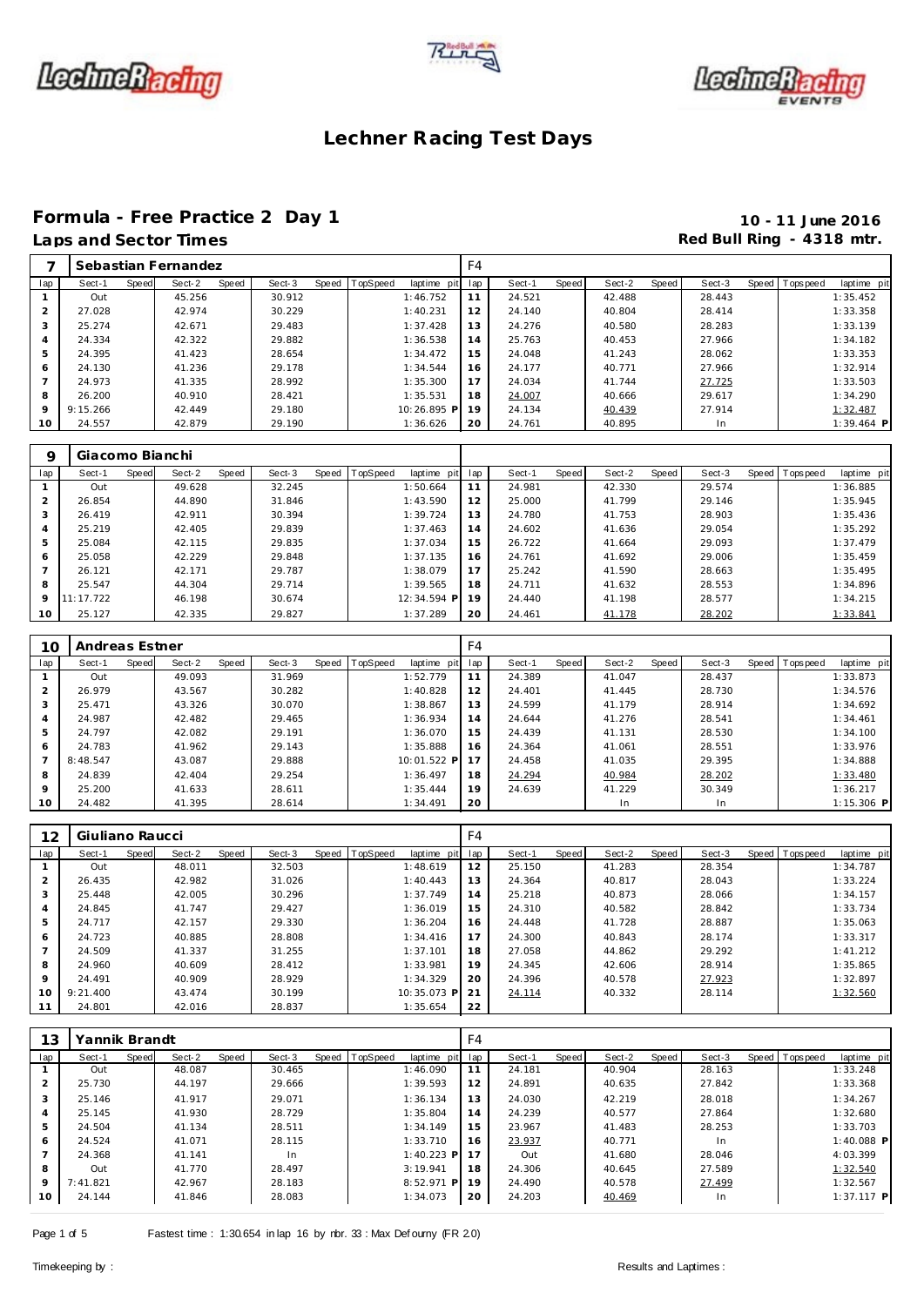





# Formula - Free Practice 2 Day 1<br>
Laps and Sector Times<br> **10 - 11 June 2016**<br>
Red Bull Ring - 4318 mtr.

## Red Bull Ring - 4318 mtr.

|                |          |       | Sebastian Fernandez |       |        |       |          |             | F4  |        |       |        |       |        |                |              |
|----------------|----------|-------|---------------------|-------|--------|-------|----------|-------------|-----|--------|-------|--------|-------|--------|----------------|--------------|
| lap            | Sect-1   | Speed | Sect-2              | Speed | Sect-3 | Speed | TopSpeed | laptime pit | lap | Sect-1 | Speed | Sect-2 | Speed | Sect-3 | Speed Topspeed | laptime pit  |
|                | Out      |       | 45.256              |       | 30.912 |       |          | 1:46.752    | 11  | 24.521 |       | 42.488 |       | 28.443 |                | 1:35.452     |
| 2              | 27.028   |       | 42.974              |       | 30.229 |       |          | 1:40.231    | 12  | 24.140 |       | 40.804 |       | 28.414 |                | 1:33.358     |
| 3              | 25.274   |       | 42.671              |       | 29.483 |       |          | 1:37.428    | 13  | 24.276 |       | 40.580 |       | 28.283 |                | 1:33.139     |
| $\overline{A}$ | 24.334   |       | 42.322              |       | 29.882 |       |          | 1:36.538    | 14  | 25.763 |       | 40.453 |       | 27.966 |                | 1:34.182     |
| 5              | 24.395   |       | 41.423              |       | 28.654 |       |          | 1:34.472    | 15  | 24.048 |       | 41.243 |       | 28.062 |                | 1:33.353     |
| 6              | 24.130   |       | 41.236              |       | 29.178 |       |          | 1:34.544    | 16  | 24.177 |       | 40.771 |       | 27.966 |                | 1:32.914     |
|                | 24.973   |       | 41.335              |       | 28.992 |       |          | 1:35.300    | 17  | 24.034 |       | 41.744 |       | 27.725 |                | 1:33.503     |
| 8              | 26.200   |       | 40.910              |       | 28.421 |       |          | 1:35.531    | 18  | 24.007 |       | 40.666 |       | 29.617 |                | 1:34.290     |
| $\circ$        | 9:15.266 |       | 42.449              |       | 29.180 |       |          | 10:26.895 P | 19  | 24.134 |       | 40.439 |       | 27.914 |                | 1:32.487     |
| 10             | 24.557   |       | 42.879              |       | 29.190 |       |          | 1:36.626    | 20  | 24.761 |       | 40.895 |       | In.    |                | $1:39.464$ P |

| Q              | Giacomo Bianchi |       |        |       |        |       |          |             |     |        |       |        |       |        |       |                 |             |
|----------------|-----------------|-------|--------|-------|--------|-------|----------|-------------|-----|--------|-------|--------|-------|--------|-------|-----------------|-------------|
| lap            | Sect-1          | Speed | Sect-2 | Speed | Sect-3 | Speed | TopSpeed | laptime pit | lap | Sect-1 | Speed | Sect-2 | Speed | Sect-3 | Speed | <b>Topspeed</b> | laptime pit |
|                | Out             |       | 49.628 |       | 32.245 |       |          | 1:50.664    | 11  | 24.981 |       | 42.330 |       | 29.574 |       |                 | 1:36.885    |
| $\overline{2}$ | 26.854          |       | 44.890 |       | 31.846 |       |          | 1:43.590    | 12  | 25,000 |       | 41.799 |       | 29.146 |       |                 | 1:35.945    |
| 3              | 26.419          |       | 42.911 |       | 30.394 |       |          | 1:39.724    | 13  | 24.780 |       | 41.753 |       | 28.903 |       |                 | 1:35.436    |
| $\overline{4}$ | 25.219          |       | 42.405 |       | 29.839 |       |          | 1:37.463    | 14  | 24.602 |       | 41.636 |       | 29.054 |       |                 | 1:35.292    |
| 5              | 25.084          |       | 42.115 |       | 29.835 |       |          | 1:37.034    | 15  | 26.722 |       | 41.664 |       | 29.093 |       |                 | 1:37.479    |
| 6              | 25.058          |       | 42.229 |       | 29.848 |       |          | 1:37.135    | 16  | 24.761 |       | 41.692 |       | 29.006 |       |                 | 1:35.459    |
|                | 26.121          |       | 42.171 |       | 29.787 |       |          | 1:38.079    | 17  | 25.242 |       | 41.590 |       | 28.663 |       |                 | 1:35.495    |
| 8              | 25.547          |       | 44.304 |       | 29.714 |       |          | 1:39.565    | 18  | 24.711 |       | 41.632 |       | 28.553 |       |                 | 1:34.896    |
| 9              | 11:17.722       |       | 46.198 |       | 30.674 |       |          | 12:34.594 P | 19  | 24.440 |       | 41.198 |       | 28.577 |       |                 | 1:34.215    |
| 10             | 25.127          |       | 42.335 |       | 29.827 |       |          | 1:37.289    | 20  | 24.461 |       | 41.178 |       | 28.202 |       |                 | 1:33.841    |

| 10      | Andreas Estner |       |        |       |        |                |             | F4  |        |       |        |       |        |                  |              |
|---------|----------------|-------|--------|-------|--------|----------------|-------------|-----|--------|-------|--------|-------|--------|------------------|--------------|
| lap     | Sect-1         | Speed | Sect-2 | Speed | Sect-3 | Speed TopSpeed | laptime pit | lap | Sect-1 | Speed | Sect-2 | Speed | Sect-3 | Speed   Topspeed | laptime pit  |
|         | Out            |       | 49.093 |       | 31.969 |                | 1:52.779    | 11  | 24.389 |       | 41.047 |       | 28.437 |                  | 1:33.873     |
| 2       | 26.979         |       | 43.567 |       | 30.282 |                | 1:40.828    | 12  | 24.401 |       | 41.445 |       | 28.730 |                  | 1:34.576     |
| 3       | 25.471         |       | 43.326 |       | 30.070 |                | 1:38.867    | 13  | 24.599 |       | 41.179 |       | 28.914 |                  | 1:34.692     |
| 4       | 24.987         |       | 42.482 |       | 29.465 |                | 1:36.934    | 14  | 24.644 |       | 41.276 |       | 28.541 |                  | 1:34.461     |
| 5       | 24.797         |       | 42.082 |       | 29.191 |                | 1:36.070    | 15  | 24.439 |       | 41.131 |       | 28.530 |                  | 1:34.100     |
| 6       | 24.783         |       | 41.962 |       | 29.143 |                | 1:35.888    | 16  | 24.364 |       | 41.061 |       | 28.551 |                  | 1:33.976     |
|         | 8:48.547       |       | 43.087 |       | 29.888 |                | 10:01.522 P | 17  | 24.458 |       | 41.035 |       | 29.395 |                  | 1:34.888     |
| 8       | 24.839         |       | 42.404 |       | 29.254 |                | 1:36.497    | 18  | 24.294 |       | 40.984 |       | 28.202 |                  | 1:33.480     |
| $\circ$ | 25.200         |       | 41.633 |       | 28.611 |                | 1:35.444    | 19  | 24.639 |       | 41.229 |       | 30.349 |                  | 1:36.217     |
| 10      | 24.482         |       | 41.395 |       | 28.614 |                | 1:34.491    | 20  |        |       | In     |       | In     |                  | $1:15.306$ P |

| 12             | Giuliano Raucci |       |        |       |        |       |          |             | F <sub>4</sub> |        |       |        |       |        |                |             |
|----------------|-----------------|-------|--------|-------|--------|-------|----------|-------------|----------------|--------|-------|--------|-------|--------|----------------|-------------|
| lap            | Sect-1          | Speed | Sect-2 | Speed | Sect-3 | Speed | TopSpeed | laptime pit | lap            | Sect-1 | Speed | Sect-2 | Speed | Sect-3 | Speed Topspeed | laptime pit |
|                | Out             |       | 48.011 |       | 32.503 |       |          | 1:48.619    | 12             | 25.150 |       | 41.283 |       | 28.354 |                | 1:34.787    |
| 2              | 26.435          |       | 42.982 |       | 31.026 |       |          | 1:40.443    | 13             | 24.364 |       | 40.817 |       | 28.043 |                | 1:33.224    |
| 3              | 25.448          |       | 42.005 |       | 30.296 |       |          | 1:37.749    | 14             | 25.218 |       | 40.873 |       | 28.066 |                | 1:34.157    |
| 4              | 24.845          |       | 41.747 |       | 29.427 |       |          | 1:36.019    | 15             | 24.310 |       | 40.582 |       | 28.842 |                | 1:33.734    |
| 5              | 24.717          |       | 42.157 |       | 29.330 |       |          | 1:36.204    | 16             | 24.448 |       | 41.728 |       | 28.887 |                | 1:35.063    |
| 6              | 24.723          |       | 40.885 |       | 28.808 |       |          | 1:34.416    | 17             | 24.300 |       | 40.843 |       | 28.174 |                | 1:33.317    |
| $\overline{7}$ | 24.509          |       | 41.337 |       | 31.255 |       |          | 1:37.101    | 18             | 27.058 |       | 44.862 |       | 29.292 |                | 1:41.212    |
| 8              | 24.960          |       | 40.609 |       | 28.412 |       |          | 1:33.981    | 19             | 24.345 |       | 42.606 |       | 28.914 |                | 1:35.865    |
| 9              | 24.491          |       | 40.909 |       | 28.929 |       |          | 1:34.329    | 20             | 24.396 |       | 40.578 |       | 27.923 |                | 1:32.897    |
| 10             | 9:21.400        |       | 43.474 |       | 30.199 |       |          | 10:35.073 P | 21             | 24.114 |       | 40.332 |       | 28.114 |                | 1:32.560    |
| 11             | 24.801          |       | 42.016 |       | 28.837 |       |          | 1:35.654    | 22             |        |       |        |       |        |                |             |

| 13            | Yannik Brandt |       |        |       |        |                |                 | F <sub>4</sub> |        |       |        |       |           |                |              |
|---------------|---------------|-------|--------|-------|--------|----------------|-----------------|----------------|--------|-------|--------|-------|-----------|----------------|--------------|
| lap           | Sect-1        | Speed | Sect-2 | Speed | Sect-3 | Speed TopSpeed | laptime pit lap |                | Sect-1 | Speed | Sect-2 | Speed | Sect-3    | Speed Topspeed | laptime pit  |
|               | Out           |       | 48.087 |       | 30.465 |                | 1:46.090        | 11             | 24.181 |       | 40.904 |       | 28.163    |                | 1:33.248     |
| $\mathcal{P}$ | 25.730        |       | 44.197 |       | 29.666 |                | 1:39.593        | 12             | 24.891 |       | 40.635 |       | 27.842    |                | 1:33.368     |
| 3             | 25.146        |       | 41.917 |       | 29.071 |                | 1:36.134        | 13             | 24.030 |       | 42.219 |       | 28.018    |                | 1:34.267     |
| 4             | 25.145        |       | 41.930 |       | 28.729 |                | 1:35.804        | 14             | 24.239 |       | 40.577 |       | 27.864    |                | 1:32.680     |
| 5             | 24.504        |       | 41.134 |       | 28.511 |                | 1:34.149        | 15             | 23.967 |       | 41.483 |       | 28.253    |                | 1:33.703     |
| 6             | 24.524        |       | 41.071 |       | 28.115 |                | 1:33.710        | 16             | 23.937 |       | 40.771 |       | <b>In</b> |                | $1:40.088$ P |
|               | 24.368        |       | 41.141 |       | In.    |                | $1:40.223$ P    | 17             | Out    |       | 41.680 |       | 28.046    |                | 4:03.399     |
| 8             | Out           |       | 41.770 |       | 28.497 |                | 3:19.941        | 18             | 24.306 |       | 40.645 |       | 27.589    |                | 1:32.540     |
| 9             | 7:41.821      |       | 42.967 |       | 28.183 |                | $8:52.971$ P    | 19             | 24.490 |       | 40.578 |       | 27.499    |                | 1:32.567     |
| 10            | 24.144        |       | 41.846 |       | 28.083 |                | 1:34.073        | 20             | 24.203 |       | 40.469 |       | In.       |                | $1:37.117$ P |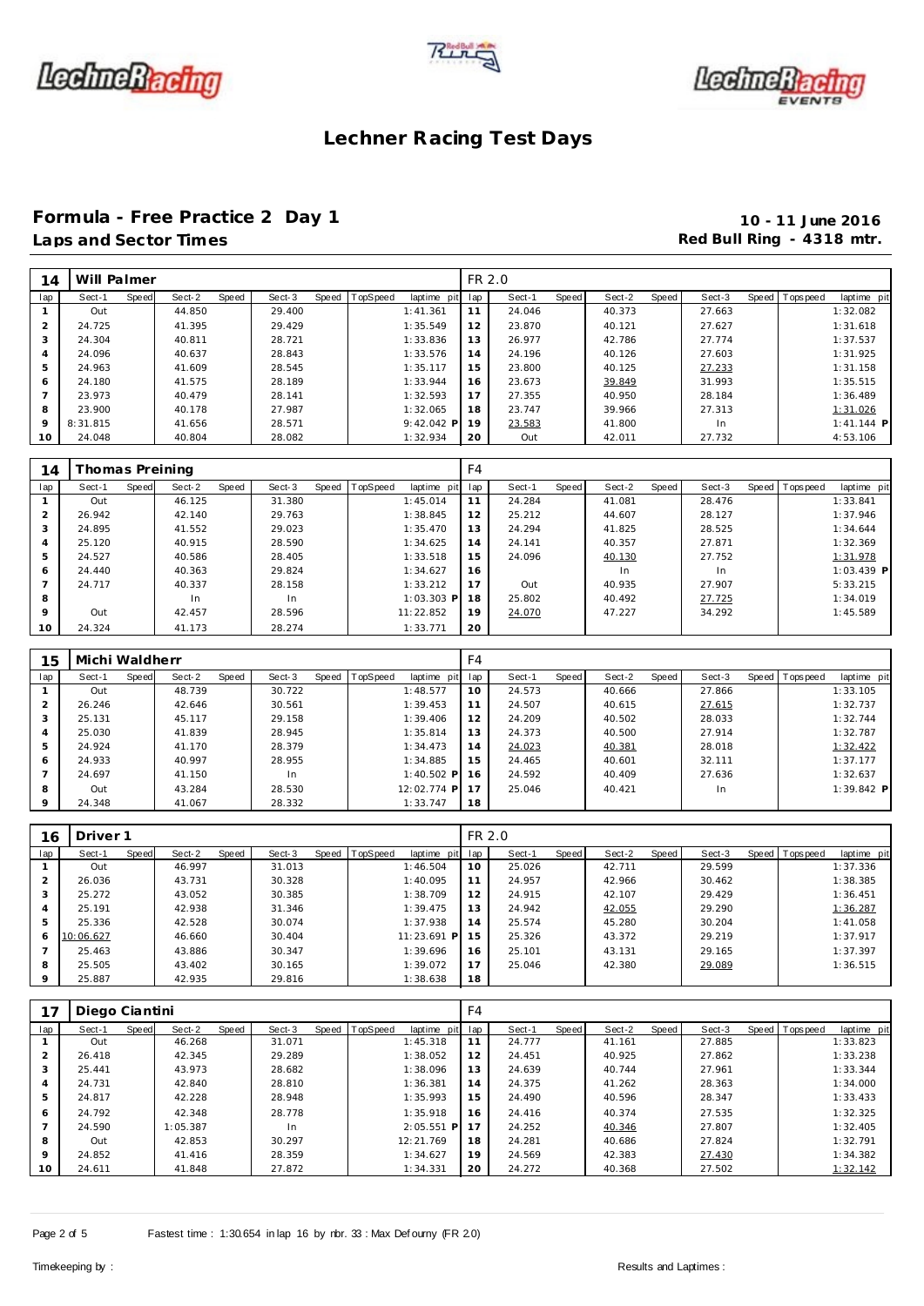





## **Formula - Free Practice 2 Day 1 10 - 11 June 2016**

## **Laps and Sector Times Red Bull Ring - 4318 mtr. Red Bull Ring - 4318 mtr.**

| 14             | Will Palmer     |       |        |       |        |       |          |              | FR 2.0         |        |       |        |       |        |       |                |                         |
|----------------|-----------------|-------|--------|-------|--------|-------|----------|--------------|----------------|--------|-------|--------|-------|--------|-------|----------------|-------------------------|
| lap            | Sect-1          | Speed | Sect-2 | Speed | Sect-3 | Speed | TopSpeed | laptime pit  | lap            | Sect-1 | Speed | Sect-2 | Speed | Sect-3 | Speed | Tops peed      | laptime pit             |
| $\mathbf{1}$   | Out             |       | 44.850 |       | 29.400 |       |          | 1:41.361     | 11             | 24.046 |       | 40.373 |       | 27.663 |       |                | 1:32.082                |
| $\overline{2}$ | 24.725          |       | 41.395 |       | 29.429 |       |          | 1:35.549     | 12             | 23.870 |       | 40.121 |       | 27.627 |       |                | 1:31.618                |
| 3              | 24.304          |       | 40.811 |       | 28.721 |       |          | 1:33.836     | 13             | 26.977 |       | 42.786 |       | 27.774 |       |                | 1:37.537                |
| $\overline{4}$ | 24.096          |       | 40.637 |       | 28.843 |       |          | 1:33.576     | 14             | 24.196 |       | 40.126 |       | 27.603 |       |                | 1:31.925                |
| 5              | 24.963          |       | 41.609 |       | 28.545 |       |          | 1:35.117     | 15             | 23.800 |       | 40.125 |       | 27.233 |       |                | 1:31.158                |
| 6              | 24.180          |       | 41.575 |       | 28.189 |       |          | 1:33.944     | 16             | 23.673 |       | 39.849 |       | 31.993 |       |                | 1:35.515                |
| $\overline{7}$ | 23.973          |       | 40.479 |       | 28.141 |       |          | 1:32.593     | 17             | 27.355 |       | 40.950 |       | 28.184 |       |                | 1:36.489                |
| 8              | 23.900          |       | 40.178 |       | 27.987 |       |          | 1:32.065     | 18             | 23.747 |       | 39.966 |       | 27.313 |       |                | 1:31.026                |
| $\circ$        | 8:31.815        |       | 41.656 |       | 28.571 |       |          | 9:42.042 P   | 19             | 23.583 |       | 41.800 |       | In     |       |                | $1:41.144$ P            |
| 10             | 24.048          |       | 40.804 |       | 28.082 |       |          | 1:32.934     | 20             | Out    |       | 42.011 |       | 27.732 |       |                | 4:53.106                |
|                |                 |       |        |       |        |       |          |              |                |        |       |        |       |        |       |                |                         |
| 14             | Thomas Preining |       |        |       |        |       |          |              | F <sub>4</sub> |        |       |        |       |        |       |                |                         |
| lap            | Sect-1          | Speed | Sect-2 | Speed | Sect-3 | Speed |          |              |                |        |       |        |       |        |       |                |                         |
| $\mathbf{1}$   | Out             |       |        |       |        |       | TopSpeed | laptime pit  | lap            | Sect-1 | Speed | Sect-2 | Speed | Sect-3 |       | Speed Topspeed |                         |
| 2              |                 |       | 46.125 |       | 31.380 |       |          | 1:45.014     | 11             | 24.284 |       | 41.081 |       | 28.476 |       |                | 1:33.841                |
|                | 26.942          |       | 42.140 |       | 29.763 |       |          | 1:38.845     | 12             | 25.212 |       | 44.607 |       | 28.127 |       |                | laptime pit<br>1:37.946 |
| 3              | 24.895          |       | 41.552 |       | 29.023 |       |          | 1:35.470     | 13             | 24.294 |       | 41.825 |       | 28.525 |       |                | 1:34.644                |
| $\overline{4}$ | 25.120          |       | 40.915 |       | 28.590 |       |          | 1:34.625     | 14             | 24.141 |       | 40.357 |       | 27.871 |       |                | 1:32.369                |
| 5              | 24.527          |       | 40.586 |       | 28.405 |       |          | 1:33.518     | 15             | 24.096 |       | 40.130 |       | 27.752 |       |                | 1:31.978                |
| 6              | 24.440          |       | 40.363 |       | 29.824 |       |          | 1:34.627     | 16             |        |       | In     |       | In     |       |                | 1:03.439 P              |
| $\overline{7}$ | 24.717          |       | 40.337 |       | 28.158 |       |          | 1:33.212     | 17             | Out    |       | 40.935 |       | 27.907 |       |                | 5:33.215                |
| 8              |                 |       | In     |       | In     |       |          | $1:03.303$ P | 18             | 25.802 |       | 40.492 |       | 27.725 |       |                | 1:34.019                |
| 9              | Out             |       | 42.457 |       | 28.596 |       |          | 11:22.852    | 19             | 24.070 |       | 47.227 |       | 34.292 |       |                | 1:45.589                |

| 15             | Michi Waldherr |       |        |       |        |       |          |              | F4  |        |       |        |       |        |       |                    |              |
|----------------|----------------|-------|--------|-------|--------|-------|----------|--------------|-----|--------|-------|--------|-------|--------|-------|--------------------|--------------|
| lap            | Sect-1         | Speed | Sect-2 | Speed | Sect-3 | Speed | TopSpeed | laptime pit  | lap | Sect-1 | Speed | Sect-2 | Speed | Sect-3 | Speed | <b>T</b> ops pee d | laptime pit  |
|                | Out            |       | 48.739 |       | 30.722 |       |          | 1:48.577     | 10  | 24.573 |       | 40.666 |       | 27.866 |       |                    | 1:33.105     |
| 2              | 26.246         |       | 42.646 |       | 30.561 |       |          | 1:39.453     | 11  | 24.507 |       | 40.615 |       | 27.615 |       |                    | 1:32.737     |
| 3              | 25.131         |       | 45.117 |       | 29.158 |       |          | 1:39.406     | 12  | 24.209 |       | 40.502 |       | 28.033 |       |                    | 1:32.744     |
| $\overline{a}$ | 25.030         |       | 41.839 |       | 28.945 |       |          | 1:35.814     | 13  | 24.373 |       | 40.500 |       | 27.914 |       |                    | 1:32.787     |
| 5              | 24.924         |       | 41.170 |       | 28.379 |       |          | 1:34.473     | 14  | 24.023 |       | 40.381 |       | 28.018 |       |                    | 1:32.422     |
| 6              | 24.933         |       | 40.997 |       | 28.955 |       |          | 1:34.885     | 15  | 24.465 |       | 40.601 |       | 32.111 |       |                    | 1:37.177     |
|                | 24.697         |       | 41.150 |       | In     |       |          | $1:40.502$ P | 16  | 24.592 |       | 40.409 |       | 27.636 |       |                    | 1:32.637     |
| 8              | Out            |       | 43.284 |       | 28.530 |       |          | 12:02.774 P  | 17  | 25.046 |       | 40.421 |       | In.    |       |                    | $1:39.842$ P |
| $\circ$        | 24.348         |       | 41.067 |       | 28.332 |       |          | 1:33.747     | 18  |        |       |        |       |        |       |                    |              |

| 16      | Driver 1  |       |        |       |        |       |          |             | FR 2.0 |        |       |        |       |        |                 |             |
|---------|-----------|-------|--------|-------|--------|-------|----------|-------------|--------|--------|-------|--------|-------|--------|-----------------|-------------|
| lap     | Sect-1    | Speed | Sect-2 | Speed | Sect-3 | Speed | TopSpeed | laptime pit | lap    | Sect-1 | Speed | Sect-2 | Speed | Sect-3 | Speed Tops peed | laptime pit |
|         | Out       |       | 46.997 |       | 31.013 |       |          | 1:46.504    | 10     | 25.026 |       | 42.711 |       | 29.599 |                 | 1:37.336    |
| 2       | 26.036    |       | 43.731 |       | 30.328 |       |          | 1:40.095    | 11     | 24.957 |       | 42.966 |       | 30.462 |                 | 1:38.385    |
| 3       | 25.272    |       | 43.052 |       | 30.385 |       |          | 1:38.709    | 12     | 24.915 |       | 42.107 |       | 29.429 |                 | 1:36.451    |
| 4       | 25.191    |       | 42.938 |       | 31.346 |       |          | 1:39.475    | 13     | 24.942 |       | 42.055 |       | 29.290 |                 | 1:36.287    |
| 5       | 25.336    |       | 42.528 |       | 30.074 |       |          | 1:37.938    | 14     | 25.574 |       | 45.280 |       | 30.204 |                 | 1:41.058    |
| 6       | 10:06.627 |       | 46.660 |       | 30.404 |       |          | 11:23.691 P | 15     | 25.326 |       | 43.372 |       | 29.219 |                 | 1:37.917    |
|         | 25.463    |       | 43.886 |       | 30.347 |       |          | 1:39.696    | 16     | 25.101 |       | 43.131 |       | 29.165 |                 | 1:37.397    |
| 8       | 25.505    |       | 43.402 |       | 30.165 |       |          | 1:39.072    | 17     | 25.046 |       | 42.380 |       | 29.089 |                 | 1:36.515    |
| $\circ$ | 25.887    |       | 42.935 |       | 29.816 |       |          | 1:38.638    | 18     |        |       |        |       |        |                 |             |

|                | Diego Ciantini |       |          |       |        |       |          |               | F4  |        |       |        |       |        |       |                    |             |
|----------------|----------------|-------|----------|-------|--------|-------|----------|---------------|-----|--------|-------|--------|-------|--------|-------|--------------------|-------------|
| lap            | Sect-1         | Speed | Sect-2   | Speed | Sect-3 | Speed | TopSpeed | laptime pit   | lap | Sect-1 | Speed | Sect-2 | Speed | Sect-3 | Speed | <b>T</b> ops pee d | laptime pit |
|                | Out            |       | 46.268   |       | 31.071 |       |          | 1:45.318      | 11  | 24.777 |       | 41.161 |       | 27.885 |       |                    | 1:33.823    |
| $\overline{2}$ | 26.418         |       | 42.345   |       | 29.289 |       |          | 1:38.052      | 12  | 24.451 |       | 40.925 |       | 27.862 |       |                    | 1:33.238    |
| 3              | 25.441         |       | 43.973   |       | 28.682 |       |          | 1:38.096      | 13  | 24.639 |       | 40.744 |       | 27.961 |       |                    | 1:33.344    |
| $\overline{4}$ | 24.731         |       | 42.840   |       | 28.810 |       |          | 1:36.381      | 14  | 24.375 |       | 41.262 |       | 28.363 |       |                    | 1:34.000    |
| 5              | 24.817         |       | 42.228   |       | 28.948 |       |          | 1:35.993      | 15  | 24.490 |       | 40.596 |       | 28.347 |       |                    | 1:33.433    |
| 6              | 24.792         |       | 42.348   |       | 28.778 |       |          | 1:35.918      | 16  | 24.416 |       | 40.374 |       | 27.535 |       |                    | 1:32.325    |
|                | 24.590         |       | 1:05.387 |       | In     |       |          | 2:05.551<br>P | 17  | 24.252 |       | 40.346 |       | 27.807 |       |                    | 1:32.405    |
| 8              | Out            |       | 42.853   |       | 30.297 |       |          | 12:21.769     | 18  | 24.281 |       | 40.686 |       | 27.824 |       |                    | 1:32.791    |
| 9              | 24.852         |       | 41.416   |       | 28.359 |       |          | 1:34.627      | 19  | 24.569 |       | 42.383 |       | 27.430 |       |                    | 1:34.382    |
| 10             | 24.611         |       | 41.848   |       | 27.872 |       |          | 1:34.331      | 20  | 24.272 |       | 40.368 |       | 27.502 |       |                    | 1:32.142    |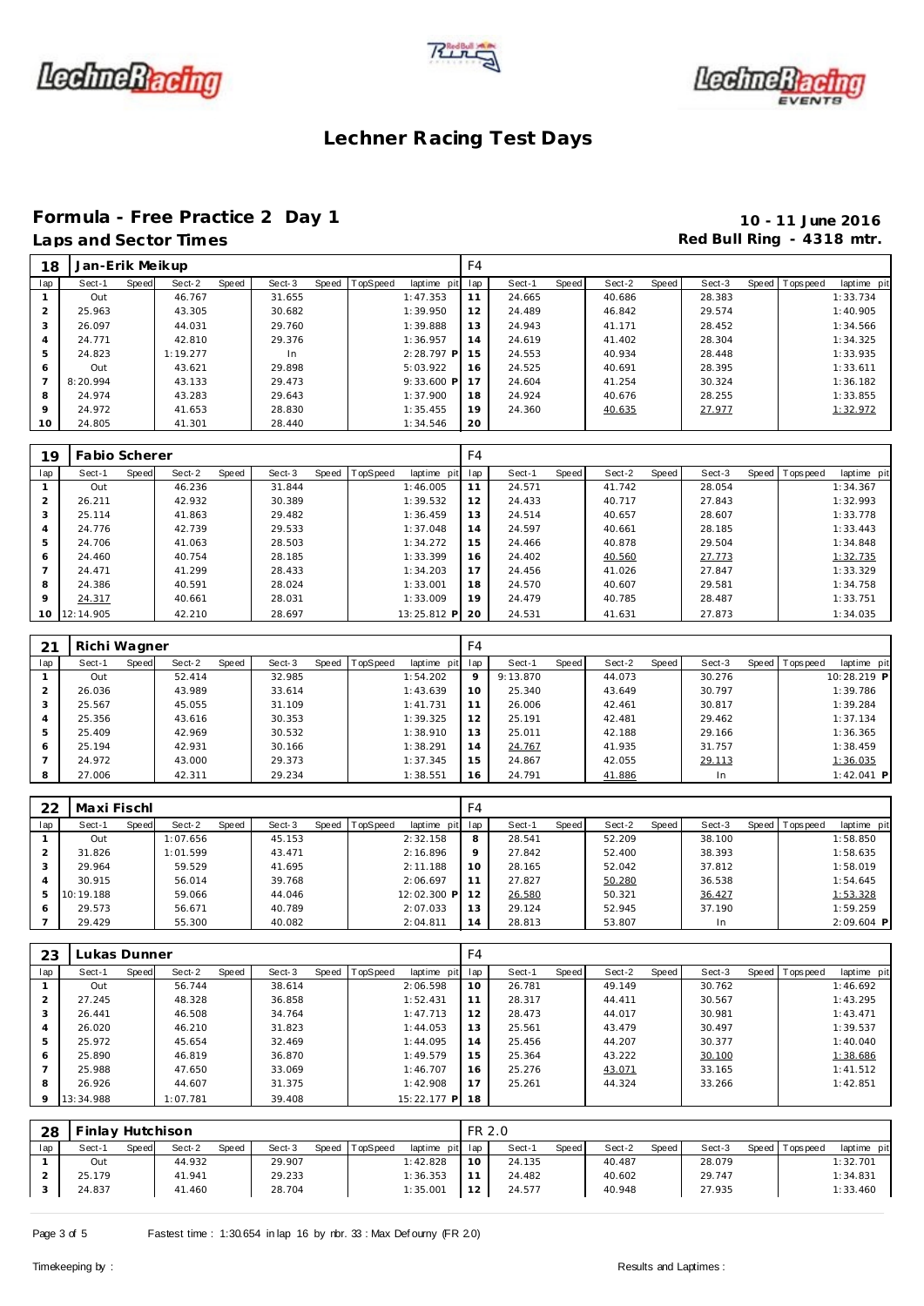





# Formula - Free Practice 2 Day 1<br>
Laps and Sector Times<br> **10 - 11 June 2016**<br>
Red Bull Ring - 4318 mtr.

## Red Bull Ring - 4318 mtr.

| 18             | Jan-Erik Meikup |       |          |       |        |       |          |              | F <sub>4</sub> |        |       |        |       |        |       |             |             |
|----------------|-----------------|-------|----------|-------|--------|-------|----------|--------------|----------------|--------|-------|--------|-------|--------|-------|-------------|-------------|
| lap            | Sect-1          | Speed | Sect-2   | Speed | Sect-3 | Speed | TopSpeed | laptime pit  | lap            | Sect-1 | Speed | Sect-2 | Speed | Sect-3 | Speed | T ops pee d | laptime pit |
|                | Out             |       | 46.767   |       | 31.655 |       |          | 1:47.353     | 11             | 24.665 |       | 40.686 |       | 28.383 |       |             | 1:33.734    |
| $\overline{2}$ | 25.963          |       | 43.305   |       | 30.682 |       |          | 1:39.950     | 12             | 24.489 |       | 46.842 |       | 29.574 |       |             | 1:40.905    |
| 3              | 26.097          |       | 44.031   |       | 29.760 |       |          | 1:39.888     | 13             | 24.943 |       | 41.171 |       | 28.452 |       |             | 1:34.566    |
| $\overline{A}$ | 24.771          |       | 42.810   |       | 29.376 |       |          | 1:36.957     | 14             | 24.619 |       | 41.402 |       | 28.304 |       |             | 1:34.325    |
| 5              | 24.823          |       | 1:19.277 |       | In.    |       |          | $2:28.797$ P | 15             | 24.553 |       | 40.934 |       | 28.448 |       |             | 1:33.935    |
| 6              | Out             |       | 43.621   |       | 29.898 |       |          | 5:03.922     | 16             | 24.525 |       | 40.691 |       | 28.395 |       |             | 1:33.611    |
|                | 8:20.994        |       | 43.133   |       | 29.473 |       |          | $9:33.600$ P | 17             | 24.604 |       | 41.254 |       | 30.324 |       |             | 1:36.182    |
| 8              | 24.974          |       | 43.283   |       | 29.643 |       |          | 1:37.900     | 18             | 24.924 |       | 40.676 |       | 28.255 |       |             | 1:33.855    |
| 9              | 24.972          |       | 41.653   |       | 28.830 |       |          | 1:35.455     | 19             | 24.360 |       | 40.635 |       | 27.977 |       |             | 1:32.972    |
| 10             | 24.805          |       | 41.301   |       | 28.440 |       |          | 1:34.546     | 20             |        |       |        |       |        |       |             |             |

| 19             | <b>Fabio Scherer</b> |       |        |       |        |       |          |             | F4  |        |       |        |       |        |       |                 |             |
|----------------|----------------------|-------|--------|-------|--------|-------|----------|-------------|-----|--------|-------|--------|-------|--------|-------|-----------------|-------------|
| lap            | Sect-1               | Speed | Sect-2 | Speed | Sect-3 | Speed | TopSpeed | laptime pit | lap | Sect-1 | Speed | Sect-2 | Speed | Sect-3 | Speed | <b>Topspeed</b> | laptime pit |
|                | Out                  |       | 46.236 |       | 31.844 |       |          | 1:46.005    | 11  | 24.571 |       | 41.742 |       | 28.054 |       |                 | 1:34.367    |
| 2              | 26.211               |       | 42.932 |       | 30.389 |       |          | 1:39.532    | 12  | 24.433 |       | 40.717 |       | 27.843 |       |                 | 1:32.993    |
| 3              | 25.114               |       | 41.863 |       | 29.482 |       |          | 1:36.459    | 13  | 24.514 |       | 40.657 |       | 28.607 |       |                 | 1:33.778    |
| $\overline{4}$ | 24.776               |       | 42.739 |       | 29.533 |       |          | 1:37.048    | 14  | 24.597 |       | 40.661 |       | 28.185 |       |                 | 1:33.443    |
| 5              | 24.706               |       | 41.063 |       | 28.503 |       |          | 1:34.272    | 15  | 24.466 |       | 40.878 |       | 29.504 |       |                 | 1:34.848    |
| 6              | 24.460               |       | 40.754 |       | 28.185 |       |          | 1:33.399    | 16  | 24.402 |       | 40.560 |       | 27.773 |       |                 | 1:32.735    |
|                | 24.471               |       | 41.299 |       | 28.433 |       |          | 1:34.203    | 17  | 24.456 |       | 41.026 |       | 27.847 |       |                 | 1:33.329    |
| 8              | 24.386               |       | 40.591 |       | 28.024 |       |          | 1:33.001    | 18  | 24.570 |       | 40.607 |       | 29.581 |       |                 | 1:34.758    |
| $\mathsf Q$    | 24.317               |       | 40.661 |       | 28.031 |       |          | 1:33.009    | 19  | 24.479 |       | 40.785 |       | 28.487 |       |                 | 1:33.751    |
| 10             | 12:14.905            |       | 42.210 |       | 28.697 |       |          | 13:25.812 P | 20  | 24.531 |       | 41.631 |       | 27.873 |       |                 | 1:34.035    |

| 21  | Richi Wagner |       |        |       |        |       |                 |             | F4      |          |       |        |       |        |                |              |
|-----|--------------|-------|--------|-------|--------|-------|-----------------|-------------|---------|----------|-------|--------|-------|--------|----------------|--------------|
| lap | Sect-1       | Speed | Sect-2 | Speed | Sect-3 | Speed | <b>TopSpeed</b> | laptime pit | lap     | Sect-1   | Speed | Sect-2 | Speed | Sect-3 | Speed Topspeed | laptime pit  |
|     | Out          |       | 52.414 |       | 32.985 |       |                 | 1:54.202    | $\circ$ | 9:13.870 |       | 44.073 |       | 30.276 |                | 10:28.219 P  |
| 2   | 26.036       |       | 43.989 |       | 33.614 |       |                 | 1:43.639    | 10      | 25.340   |       | 43.649 |       | 30.797 |                | 1:39.786     |
| 3   | 25.567       |       | 45.055 |       | 31.109 |       |                 | 1:41.731    | 11      | 26.006   |       | 42.461 |       | 30.817 |                | 1:39.284     |
| 4   | 25.356       |       | 43.616 |       | 30.353 |       |                 | 1:39.325    | 12      | 25.191   |       | 42.481 |       | 29.462 |                | 1:37.134     |
| 5   | 25.409       |       | 42.969 |       | 30.532 |       |                 | 1:38.910    | 13      | 25.011   |       | 42.188 |       | 29.166 |                | 1:36.365     |
| 6   | 25.194       |       | 42.931 |       | 30.166 |       |                 | 1:38.291    | 14      | 24.767   |       | 41.935 |       | 31.757 |                | 1:38.459     |
|     | 24.972       |       | 43.000 |       | 29.373 |       |                 | 1:37.345    | 15      | 24.867   |       | 42.055 |       | 29.113 |                | 1:36.035     |
| 8   | 27.006       |       | 42.311 |       | 29.234 |       |                 | 1:38.551    | 16      | 24.791   |       | 41.886 |       | In.    |                | $1:42.041$ P |

| 22  | Maxi Fischl |       |          |       |        |       |          |                 | F4      |        |       |        |       |        |                |              |
|-----|-------------|-------|----------|-------|--------|-------|----------|-----------------|---------|--------|-------|--------|-------|--------|----------------|--------------|
| lap | Sect-1      | Speed | Sect-2   | Speed | Sect-3 | Speed | TopSpeed | laptime pit lap |         | Sect-1 | Speed | Sect-2 | Speed | Sect-3 | Speed Topspeed | laptime pit  |
|     | Out         |       | 1:07.656 |       | 45.153 |       |          | 2:32.158        | 8       | 28.541 |       | 52.209 |       | 38.100 |                | 1:58.850     |
|     | 31.826      |       | 1:01.599 |       | 43.471 |       |          | 2:16.896        | $\circ$ | 27.842 |       | 52.400 |       | 38.393 |                | 1:58.635     |
|     | 29.964      |       | 59.529   |       | 41.695 |       |          | 2:11.188        | 10      | 28.165 |       | 52.042 |       | 37.812 |                | 1:58.019     |
|     | 30.915      |       | 56.014   |       | 39.768 |       |          | 2:06.697        | 11      | 27.827 |       | 50.280 |       | 36.538 |                | 1:54.645     |
|     | 10:19.188   |       | 59.066   |       | 44.046 |       |          | 12:02.300<br>D. | 12      | 26.580 |       | 50.321 |       | 36.427 |                | 1:53.328     |
| 6   | 29.573      |       | 56.671   |       | 40.789 |       |          | 2:07.033        | 13      | 29.124 |       | 52.945 |       | 37.190 |                | 1:59.259     |
|     | 29.429      |       | 55.300   |       | 40.082 |       |          | 2:04.811        | 14      | 28.813 |       | 53.807 |       | In     |                | $2:09.604$ P |

| 23             | Lukas Dunner |       |          |       |        |       |          |             | F4  |        |       |        |       |        |       |            |             |
|----------------|--------------|-------|----------|-------|--------|-------|----------|-------------|-----|--------|-------|--------|-------|--------|-------|------------|-------------|
| lap            | Sect-1       | Speed | Sect-2   | Speed | Sect-3 | Speed | TopSpeed | laptime pit | lap | Sect-1 | Speed | Sect-2 | Speed | Sect-3 | Speed | T ops peed | laptime pit |
|                | Out          |       | 56.744   |       | 38.614 |       |          | 2:06.598    | 10  | 26.781 |       | 49.149 |       | 30.762 |       |            | 1:46.692    |
| $\overline{2}$ | 27.245       |       | 48.328   |       | 36.858 |       |          | 1:52.431    | 11  | 28.317 |       | 44.411 |       | 30.567 |       |            | 1:43.295    |
| 3              | 26.441       |       | 46.508   |       | 34.764 |       |          | 1:47.713    | 12  | 28.473 |       | 44.017 |       | 30.981 |       |            | 1:43.471    |
| 4              | 26.020       |       | 46.210   |       | 31.823 |       |          | 1:44.053    | 13  | 25.561 |       | 43.479 |       | 30.497 |       |            | 1:39.537    |
| 5              | 25.972       |       | 45.654   |       | 32.469 |       |          | 1:44.095    | 14  | 25.456 |       | 44.207 |       | 30.377 |       |            | 1:40.040    |
| 6              | 25.890       |       | 46.819   |       | 36.870 |       |          | 1:49.579    | 15  | 25.364 |       | 43.222 |       | 30.100 |       |            | 1:38.686    |
|                | 25.988       |       | 47.650   |       | 33.069 |       |          | 1:46.707    | 16  | 25.276 |       | 43.071 |       | 33.165 |       |            | 1:41.512    |
| 8              | 26.926       |       | 44.607   |       | 31.375 |       |          | 1:42.908    | 17  | 25.261 |       | 44.324 |       | 33.266 |       |            | 1:42.851    |
| 9              | 13:34.988    |       | 1:07.781 |       | 39.408 |       |          | 15:22.177 P | 18  |        |       |        |       |        |       |            |             |

| Sect-1 | Speed | Sect-2 | <b>Speed</b>                 | Sect-3 | TopSpeed | laptime  |        | Sect-1  | Speed  | Sect-2 | Speed | Sect-3 | Speed | Г ops pee d | laptime pit |
|--------|-------|--------|------------------------------|--------|----------|----------|--------|---------|--------|--------|-------|--------|-------|-------------|-------------|
| Out    |       | 44.932 |                              | 29.907 |          | 1:42.828 | 10     | 24.135  |        | 40.487 |       | 28.079 |       |             | 1:32.701    |
| 25.179 |       | 41.941 |                              | 29.233 |          | 1:36.353 |        | 24.482  |        | 40.602 |       | 29.747 |       |             | 1:34.831    |
| 24.837 |       | 41.460 |                              | 28.704 |          | 1:35.001 | $\sim$ | 24.577  |        | 40.948 |       | 27.935 |       |             | 1:33.460    |
| 28     |       |        | <sup>-</sup> inlay Hutchison |        |          | Speed    |        | pit lap | FR 2.0 |        |       |        |       |             |             |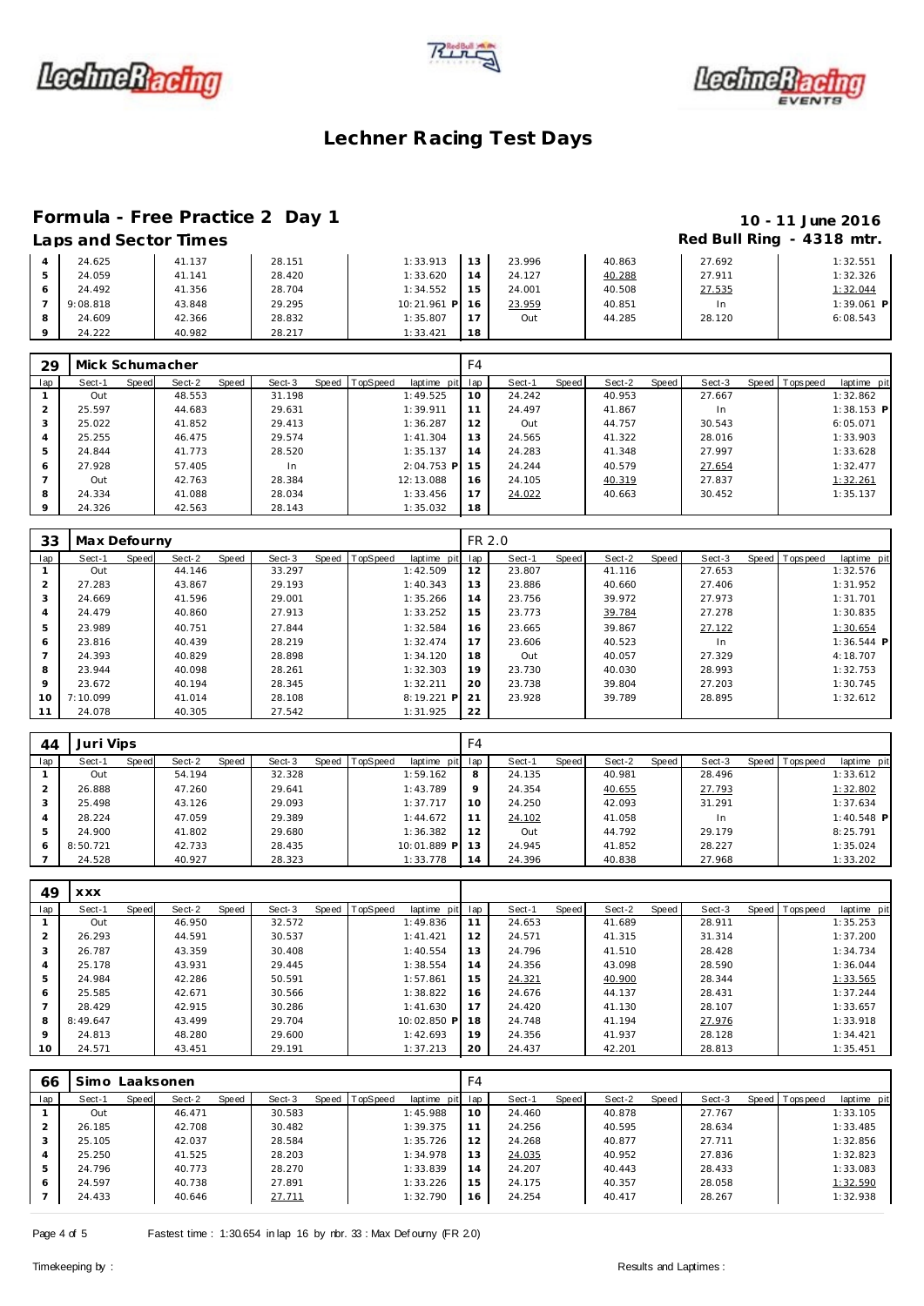





### **Formula - Free Practice 2 Day 1 10 - 11 June 2016**

24.222 40.982 28.217 1:33.421 **18**

## **Laps and Sector Times Red Bull Ring - 4318 mtr.**

**1:32.551 1:32.326** 1:32.044 **1:39.061 P**<br>**6:08.543** 

|  | Laps and Sector Times |        |        |           |        |        |        |        | $R$ $\alpha$ Dull $R$ $\alpha$ Dull $\alpha$ - 43 To The |
|--|-----------------------|--------|--------|-----------|--------|--------|--------|--------|----------------------------------------------------------|
|  | 24.625                | 41.137 | 28.151 | 1:33.913  | 1.3    | 23.996 | 40.863 | 27.692 | 1:32.551                                                 |
|  | 24.059                | 41.141 | 28.420 | 1:33.620  |        | 24.127 | 40.288 | 27.911 | 1:32.326                                                 |
|  | 24.492                | 41.356 | 28.704 | 1:34.552  | $15 -$ | 24.001 | 40.508 | 27.535 | 1:32.044                                                 |
|  | 9:08.818              | 43.848 | 29.295 | 10:21.961 | P 16   | 23.959 | 40.851 | In     | 1:39.061                                                 |
|  | 24.609                | 42.366 | 28.832 | 1:35.807  |        | Out    | 44.285 | 28.120 | 6:08.543                                                 |
|  |                       |        |        |           |        |        |        |        |                                                          |

| 29             | Mick Schumacher |       |        |       |        |       |          |              | F4  |        |       |        |       |        |                |             |  |
|----------------|-----------------|-------|--------|-------|--------|-------|----------|--------------|-----|--------|-------|--------|-------|--------|----------------|-------------|--|
| lap            | Sect-1          | Speed | Sect-2 | Speed | Sect-3 | Speed | TopSpeed | laptime pit  | lap | Sect-1 | Speed | Sect-2 | Speed | Sect-3 | Speed Topspeed | laptime pit |  |
|                | Out             |       | 48.553 |       | 31.198 |       |          | 1:49.525     | 10  | 24.242 |       | 40.953 |       | 27.667 |                | 1:32.862    |  |
| $\overline{2}$ | 25.597          |       | 44.683 |       | 29.631 |       |          | 1:39.911     | 11  | 24.497 |       | 41.867 |       | In     |                | 1:38.153 P  |  |
| 3              | 25.022          |       | 41.852 |       | 29.413 |       |          | 1:36.287     | 12  | Out    |       | 44.757 |       | 30.543 |                | 6:05.071    |  |
| 4              | 25.255          |       | 46.475 |       | 29.574 |       |          | 1:41.304     | 13  | 24.565 |       | 41.322 |       | 28.016 |                | 1:33.903    |  |
| 5              | 24.844          |       | 41.773 |       | 28.520 |       |          | 1:35.137     | 14  | 24.283 |       | 41.348 |       | 27.997 |                | 1:33.628    |  |
| 6              | 27.928          |       | 57.405 |       | In     |       |          | $2:04.753$ P | 15  | 24.244 |       | 40.579 |       | 27.654 |                | 1:32.477    |  |
|                | Out             |       | 42.763 |       | 28.384 |       |          | 12:13.088    | 16  | 24.105 |       | 40.319 |       | 27.837 |                | 1:32.261    |  |
| 8              | 24.334          |       | 41.088 |       | 28.034 |       |          | 1:33.456     | 17  | 24.022 |       | 40.663 |       | 30.452 |                | 1:35.137    |  |
| 9              | 24.326          |       | 42.563 |       | 28.143 |       |          | 1:35.032     | 18  |        |       |        |       |        |                |             |  |

| 33      | Max Defourny |       |        |       |        |                |             | FR 2.0 |        |       |        |       |        |                |              |
|---------|--------------|-------|--------|-------|--------|----------------|-------------|--------|--------|-------|--------|-------|--------|----------------|--------------|
| lap     | Sect-1       | Speed | Sect-2 | Speed | Sect-3 | Speed TopSpeed | laptime pit | lap    | Sect-1 | Speed | Sect-2 | Speed | Sect-3 | Speed Topspeed | laptime pit  |
|         | Out          |       | 44.146 |       | 33.297 |                | 1:42.509    | 12     | 23.807 |       | 41.116 |       | 27.653 |                | 1:32.576     |
|         | 27.283       |       | 43.867 |       | 29.193 |                | 1:40.343    | 13     | 23.886 |       | 40.660 |       | 27.406 |                | 1:31.952     |
|         | 24.669       |       | 41.596 |       | 29.001 |                | 1:35.266    | 14     | 23.756 |       | 39.972 |       | 27.973 |                | 1:31.701     |
| 4       | 24.479       |       | 40.860 |       | 27.913 |                | 1:33.252    | 15     | 23.773 |       | 39.784 |       | 27.278 |                | 1:30.835     |
|         | 23.989       |       | 40.751 |       | 27.844 |                | 1:32.584    | 16     | 23.665 |       | 39.867 |       | 27.122 |                | 1:30.654     |
| 6       | 23.816       |       | 40.439 |       | 28.219 |                | 1:32.474    | 17     | 23.606 |       | 40.523 |       | In     |                | $1:36.544$ P |
|         | 24.393       |       | 40.829 |       | 28.898 |                | 1:34.120    | 18     | Out    |       | 40.057 |       | 27.329 |                | 4:18.707     |
| 8       | 23.944       |       | 40.098 |       | 28.261 |                | 1:32.303    | 19     | 23.730 |       | 40.030 |       | 28.993 |                | 1:32.753     |
| $\circ$ | 23.672       |       | 40.194 |       | 28.345 |                | 1:32.211    | 20     | 23.738 |       | 39.804 |       | 27.203 |                | 1:30.745     |
| 10      | 7:10.099     |       | 41.014 |       | 28.108 |                | 8:19.221 P  | 21     | 23.928 |       | 39.789 |       | 28.895 |                | 1:32.612     |
| 11      | 24.078       |       | 40.305 |       | 27.542 |                | 1:31.925    | 22     |        |       |        |       |        |                |              |

| 44  | Juri Vips |       |        |       |        |                |                 | F4      |        |       |        |       |        |         |                   |              |  |
|-----|-----------|-------|--------|-------|--------|----------------|-----------------|---------|--------|-------|--------|-------|--------|---------|-------------------|--------------|--|
| lap | Sect-1    | Speed | Sect-2 | Speed | Sect-3 | Speed TopSpeed | laptime pit lap |         | Sect-1 | Speed | Sect-2 | Speed | Sect-3 | Speed I | <b>T</b> ops peed | laptime pit  |  |
|     | Out       |       | 54.194 |       | 32.328 |                | 1:59.162        | 8       | 24.135 |       | 40.981 |       | 28.496 |         |                   | 1:33.612     |  |
|     | 26.888    |       | 47.260 |       | 29.641 |                | 1:43.789        | $\circ$ | 24.354 |       | 40.655 |       | 27.793 |         |                   | 1:32.802     |  |
| 3   | 25.498    |       | 43.126 |       | 29.093 |                | 1:37.717        | 10      | 24.250 |       | 42.093 |       | 31.291 |         |                   | 1:37.634     |  |
| 4   | 28.224    |       | 47.059 |       | 29.389 |                | 1:44.672        | 11      | 24.102 |       | 41.058 |       | In     |         |                   | $1:40.548$ P |  |
| .5  | 24.900    |       | 41.802 |       | 29.680 |                | 1:36.382        | 12      | Out    |       | 44.792 |       | 29.179 |         |                   | 8:25.791     |  |
| 6   | 8:50.721  |       | 42.733 |       | 28.435 |                | 10:01.889 P     | 13      | 24.945 |       | 41.852 |       | 28.227 |         |                   | 1:35.024     |  |
|     | 24.528    |       | 40.927 |       | 28.323 |                | 1:33.778        | 14      | 24.396 |       | 40.838 |       | 27.968 |         |                   | 1:33.202     |  |

| 49              | <b>XXX</b> |       |        |       |        |                |             |     |        |       |        |       |        |                |             |
|-----------------|------------|-------|--------|-------|--------|----------------|-------------|-----|--------|-------|--------|-------|--------|----------------|-------------|
| lap             | Sect-1     | Speed | Sect-2 | Speed | Sect-3 | Speed TopSpeed | laptime pit | lap | Sect-1 | Speed | Sect-2 | Speed | Sect-3 | Speed Topspeed | laptime pit |
|                 | Out        |       | 46.950 |       | 32.572 |                | 1:49.836    | 11  | 24.653 |       | 41.689 |       | 28.911 |                | 1:35.253    |
| $\overline{2}$  | 26.293     |       | 44.591 |       | 30.537 |                | 1:41.421    | 12  | 24.571 |       | 41.315 |       | 31.314 |                | 1:37.200    |
| 3               | 26.787     |       | 43.359 |       | 30.408 |                | 1:40.554    | 13  | 24.796 |       | 41.510 |       | 28.428 |                | 1:34.734    |
| 4               | 25.178     |       | 43.931 |       | 29.445 |                | 1:38.554    | 14  | 24.356 |       | 43.098 |       | 28.590 |                | 1:36.044    |
| 5               | 24.984     |       | 42.286 |       | 50.591 |                | 1:57.861    | 15  | 24.321 |       | 40.900 |       | 28.344 |                | 1:33.565    |
| 6               | 25.585     |       | 42.671 |       | 30.566 |                | 1:38.822    | 16  | 24.676 |       | 44.137 |       | 28.431 |                | 1:37.244    |
|                 | 28.429     |       | 42.915 |       | 30.286 |                | 1:41.630    | 17  | 24.420 |       | 41.130 |       | 28.107 |                | 1:33.657    |
| 8               | 8:49.647   |       | 43.499 |       | 29.704 |                | 10:02.850 P | 18  | 24.748 |       | 41.194 |       | 27.976 |                | 1:33.918    |
| 9               | 24.813     |       | 48.280 |       | 29.600 |                | 1:42.693    | 19  | 24.356 |       | 41.937 |       | 28.128 |                | 1:34.421    |
| 10 <sup>°</sup> | 24.571     |       | 43.451 |       | 29.191 |                | 1:37.213    | 20  | 24.437 |       | 42.201 |       | 28.813 |                | 1:35.451    |

| 66  | Simo Laaksonen |       |        |       |        |                |             | F4  |        |       |        |       |        |                 |             |
|-----|----------------|-------|--------|-------|--------|----------------|-------------|-----|--------|-------|--------|-------|--------|-----------------|-------------|
| lap | Sect-1         | Speed | Sect-2 | Speed | Sect-3 | Speed TopSpeed | laptime pit | lap | Sect-1 | Speed | Sect-2 | Speed | Sect-3 | Speed Tops peed | laptime pit |
|     | Out            |       | 46.471 |       | 30.583 |                | 1:45.988    | 10  | 24.460 |       | 40.878 |       | 27.767 |                 | 1:33.105    |
|     | 26.185         |       | 42.708 |       | 30.482 |                | 1:39.375    | 11  | 24.256 |       | 40.595 |       | 28.634 |                 | 1:33.485    |
| 3   | 25.105         |       | 42.037 |       | 28.584 |                | 1:35.726    | 12  | 24.268 |       | 40.877 |       | 27.711 |                 | 1:32.856    |
| 4   | 25.250         |       | 41.525 |       | 28.203 |                | 1:34.978    | 13  | 24.035 |       | 40.952 |       | 27.836 |                 | 1:32.823    |
| 5   | 24.796         |       | 40.773 |       | 28.270 |                | 1:33.839    | 14  | 24.207 |       | 40.443 |       | 28.433 |                 | 1:33.083    |
| 6   | 24.597         |       | 40.738 |       | 27.891 |                | 1:33.226    | 15  | 24.175 |       | 40.357 |       | 28.058 |                 | 1:32.590    |
|     | 24.433         |       | 40.646 |       | 27.711 |                | 1:32.790    | 16  | 24.254 |       | 40.417 |       | 28.267 |                 | 1:32.938    |